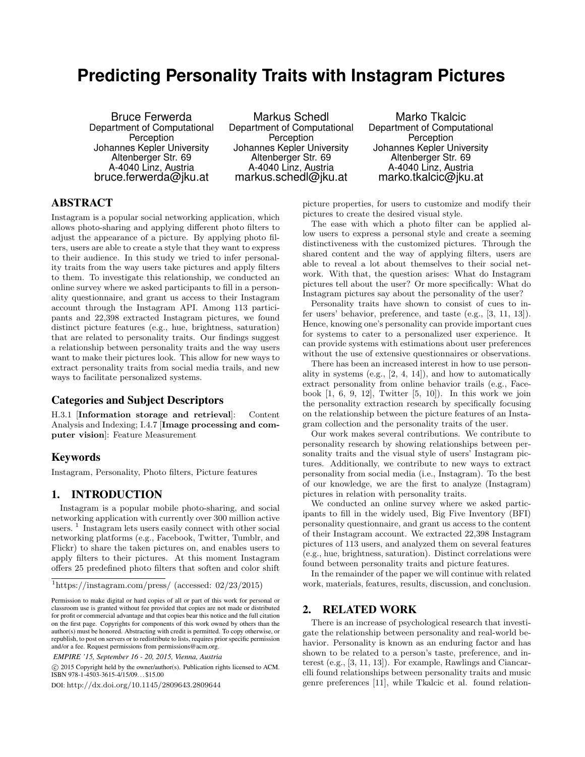# **Predicting Personality Traits with Instagram Pictures**

Bruce Ferwerda Department of Computational Perception Johannes Kepler University Altenberger Str. 69 A-4040 Linz, Austria bruce.ferwerda@jku.at

Markus Schedl Department of Computational Perception Johannes Kepler University Altenberger Str. 69 A-4040 Linz, Austria markus.schedl@jku.at

Marko Tkalcic Department of Computational Perception Johannes Kepler University Altenberger Str. 69 A-4040 Linz, Austria marko.tkalcic@jku.at

# ABSTRACT

Instagram is a popular social networking application, which allows photo-sharing and applying different photo filters to adjust the appearance of a picture. By applying photo filters, users are able to create a style that they want to express to their audience. In this study we tried to infer personality traits from the way users take pictures and apply filters to them. To investigate this relationship, we conducted an online survey where we asked participants to fill in a personality questionnaire, and grant us access to their Instagram account through the Instagram API. Among 113 participants and 22,398 extracted Instagram pictures, we found distinct picture features (e.g., hue, brightness, saturation) that are related to personality traits. Our findings suggest a relationship between personality traits and the way users want to make their pictures look. This allow for new ways to extract personality traits from social media trails, and new ways to facilitate personalized systems.

#### Categories and Subject Descriptors

H.3.1 [Information storage and retrieval]: Content Analysis and Indexing; I.4.7 [Image processing and computer vision]: Feature Measurement

#### Keywords

Instagram, Personality, Photo filters, Picture features

# 1. INTRODUCTION

Instagram is a popular mobile photo-sharing, and social networking application with currently over 300 million active users.<sup>[1](#page-0-0)</sup> Instagram lets users easily connect with other social networking platforms (e.g., Facebook, Twitter, Tumblr, and Flickr) to share the taken pictures on, and enables users to apply filters to their pictures. At this moment Instagram offers 25 predefined photo filters that soften and color shift

*EMPIRE '15, September 16 - 20, 2015, Vienna, Austria*

 c 2015 Copyright held by the owner/author(s). Publication rights licensed to ACM. ISBN 978-1-4503-3615-4/15/09. . . \$15.00

DOI: <http://dx.doi.org/10.1145/2809643.2809644>

picture properties, for users to customize and modify their pictures to create the desired visual style.

The ease with which a photo filter can be applied allow users to express a personal style and create a seeming distinctiveness with the customized pictures. Through the shared content and the way of applying filters, users are able to reveal a lot about themselves to their social network. With that, the question arises: What do Instagram pictures tell about the user? Or more specifically: What do Instagram pictures say about the personality of the user?

Personality traits have shown to consist of cues to infer users' behavior, preference, and taste (e.g., [\[3,](#page-3-0) [11,](#page-3-1) [13\]](#page-3-2)). Hence, knowing one's personality can provide important cues for systems to cater to a personalized user experience. It can provide systems with estimations about user preferences without the use of extensive questionnaires or observations.

There has been an increased interest in how to use personality in systems  $(e.g., [2, 4, 14])$  $(e.g., [2, 4, 14])$  $(e.g., [2, 4, 14])$  $(e.g., [2, 4, 14])$  $(e.g., [2, 4, 14])$ , and how to automatically extract personality from online behavior trails (e.g., Facebook  $[1, 6, 9, 12]$  $[1, 6, 9, 12]$  $[1, 6, 9, 12]$  $[1, 6, 9, 12]$ , Twitter  $[5, 10]$  $[5, 10]$ ). In this work we join the personality extraction research by specifically focusing on the relationship between the picture features of an Instagram collection and the personality traits of the user.

Our work makes several contributions. We contribute to personality research by showing relationships between personality traits and the visual style of users' Instagram pictures. Additionally, we contribute to new ways to extract personality from social media (i.e., Instagram). To the best of our knowledge, we are the first to analyze (Instagram) pictures in relation with personality traits.

We conducted an online survey where we asked participants to fill in the widely used, Big Five Inventory (BFI) personality questionnaire, and grant us access to the content of their Instagram account. We extracted 22,398 Instagram pictures of 113 users, and analyzed them on several features (e.g., hue, brightness, saturation). Distinct correlations were found between personality traits and picture features.

In the remainder of the paper we will continue with related work, materials, features, results, discussion, and conclusion.

# 2. RELATED WORK

There is an increase of psychological research that investigate the relationship between personality and real-world behavior. Personality is known as an enduring factor and has shown to be related to a person's taste, preference, and interest (e.g., [\[3,](#page-3-0) [11,](#page-3-1) [13\]](#page-3-2)). For example, Rawlings and Ciancarelli found relationships between personality traits and music genre preferences [\[11\]](#page-3-1), while Tkalcic et al. found relation-

<span id="page-0-0"></span> $1$ <https://instagram.com/press/> (accessed:  $02/23/2015$ )

Permission to make digital or hard copies of all or part of this work for personal or classroom use is granted without fee provided that copies are not made or distributed for profit or commercial advantage and that copies bear this notice and the full citation on the first page. Copyrights for components of this work owned by others than the author(s) must be honored. Abstracting with credit is permitted. To copy otherwise, or republish, to post on servers or to redistribute to lists, requires prior specific permission and/or a fee. Request permissions from permissions@acm.org.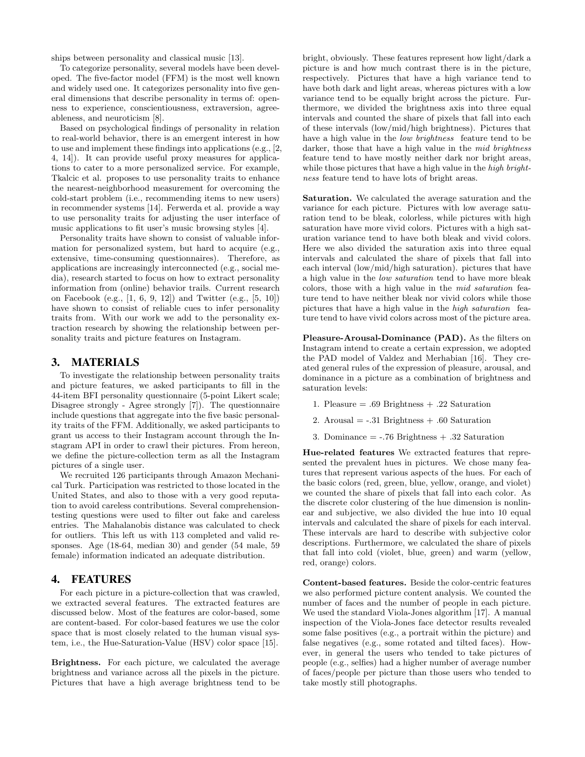ships between personality and classical music [\[13\]](#page-3-2).

To categorize personality, several models have been developed. The five-factor model (FFM) is the most well known and widely used one. It categorizes personality into five general dimensions that describe personality in terms of: openness to experience, conscientiousness, extraversion, agreeableness, and neuroticism [\[8\]](#page-3-12).

Based on psychological findings of personality in relation to real-world behavior, there is an emergent interest in how to use and implement these findings into applications (e.g., [\[2,](#page-3-3) [4,](#page-3-4) [14\]](#page-3-5)). It can provide useful proxy measures for applications to cater to a more personalized service. For example, Tkalcic et al. proposes to use personality traits to enhance the nearest-neighborhood measurement for overcoming the cold-start problem (i.e., recommending items to new users) in recommender systems [\[14\]](#page-3-5). Ferwerda et al. provide a way to use personality traits for adjusting the user interface of music applications to fit user's music browsing styles [\[4\]](#page-3-4).

Personality traits have shown to consist of valuable information for personalized system, but hard to acquire (e.g., extensive, time-consuming questionnaires). Therefore, as applications are increasingly interconnected (e.g., social media), research started to focus on how to extract personality information from (online) behavior trails. Current research on Facebook (e.g., [\[1,](#page-3-6) [6,](#page-3-7) [9,](#page-3-8) [12\]](#page-3-9)) and Twitter (e.g., [\[5,](#page-3-10) [10\]](#page-3-11)) have shown to consist of reliable cues to infer personality traits from. With our work we add to the personality extraction research by showing the relationship between personality traits and picture features on Instagram.

# 3. MATERIALS

To investigate the relationship between personality traits and picture features, we asked participants to fill in the 44-item BFI personality questionnaire (5-point Likert scale; Disagree strongly - Agree strongly [\[7\]](#page-3-13)). The questionnaire include questions that aggregate into the five basic personality traits of the FFM. Additionally, we asked participants to grant us access to their Instagram account through the Instagram API in order to crawl their pictures. From hereon, we define the picture-collection term as all the Instagram pictures of a single user.

We recruited 126 participants through Amazon Mechanical Turk. Participation was restricted to those located in the United States, and also to those with a very good reputation to avoid careless contributions. Several comprehensiontesting questions were used to filter out fake and careless entries. The Mahalanobis distance was calculated to check for outliers. This left us with 113 completed and valid responses. Age (18-64, median 30) and gender (54 male, 59 female) information indicated an adequate distribution.

### 4. FEATURES

For each picture in a picture-collection that was crawled, we extracted several features. The extracted features are discussed below. Most of the features are color-based, some are content-based. For color-based features we use the color space that is most closely related to the human visual system, i.e., the Hue-Saturation-Value (HSV) color space [\[15\]](#page-3-14).

Brightness. For each picture, we calculated the average brightness and variance across all the pixels in the picture. Pictures that have a high average brightness tend to be bright, obviously. These features represent how light/dark a picture is and how much contrast there is in the picture, respectively. Pictures that have a high variance tend to have both dark and light areas, whereas pictures with a low variance tend to be equally bright across the picture. Furthermore, we divided the brightness axis into three equal intervals and counted the share of pixels that fall into each of these intervals (low/mid/high brightness). Pictures that have a high value in the *low brightness* feature tend to be darker, those that have a high value in the mid brightness feature tend to have mostly neither dark nor bright areas, while those pictures that have a high value in the *high bright*ness feature tend to have lots of bright areas.

Saturation. We calculated the average saturation and the variance for each picture. Pictures with low average saturation tend to be bleak, colorless, while pictures with high saturation have more vivid colors. Pictures with a high saturation variance tend to have both bleak and vivid colors. Here we also divided the saturation axis into three equal intervals and calculated the share of pixels that fall into each interval (low/mid/high saturation). pictures that have a high value in the low saturation tend to have more bleak colors, those with a high value in the mid saturation feature tend to have neither bleak nor vivid colors while those pictures that have a high value in the high saturation feature tend to have vivid colors across most of the picture area.

Pleasure-Arousal-Dominance (PAD). As the filters on Instagram intend to create a certain expression, we adopted the PAD model of Valdez and Merhabian [\[16\]](#page-3-15). They created general rules of the expression of pleasure, arousal, and dominance in a picture as a combination of brightness and saturation levels:

- 1. Pleasure  $= .69$  Brightness  $+ .22$  Saturation
- 2. Arousal  $=$  -.31 Brightness  $+$  .60 Saturation
- 3. Dominance  $=$  -.76 Brightness  $+$  .32 Saturation

Hue-related features We extracted features that represented the prevalent hues in pictures. We chose many features that represent various aspects of the hues. For each of the basic colors (red, green, blue, yellow, orange, and violet) we counted the share of pixels that fall into each color. As the discrete color clustering of the hue dimension is nonlinear and subjective, we also divided the hue into 10 equal intervals and calculated the share of pixels for each interval. These intervals are hard to describe with subjective color descriptions. Furthermore, we calculated the share of pixels that fall into cold (violet, blue, green) and warm (yellow, red, orange) colors.

Content-based features. Beside the color-centric features we also performed picture content analysis. We counted the number of faces and the number of people in each picture. We used the standard Viola-Jones algorithm [\[17\]](#page-3-16). A manual inspection of the Viola-Jones face detector results revealed some false positives (e.g., a portrait within the picture) and false negatives (e.g., some rotated and tilted faces). However, in general the users who tended to take pictures of people (e.g., selfies) had a higher number of average number of faces/people per picture than those users who tended to take mostly still photographs.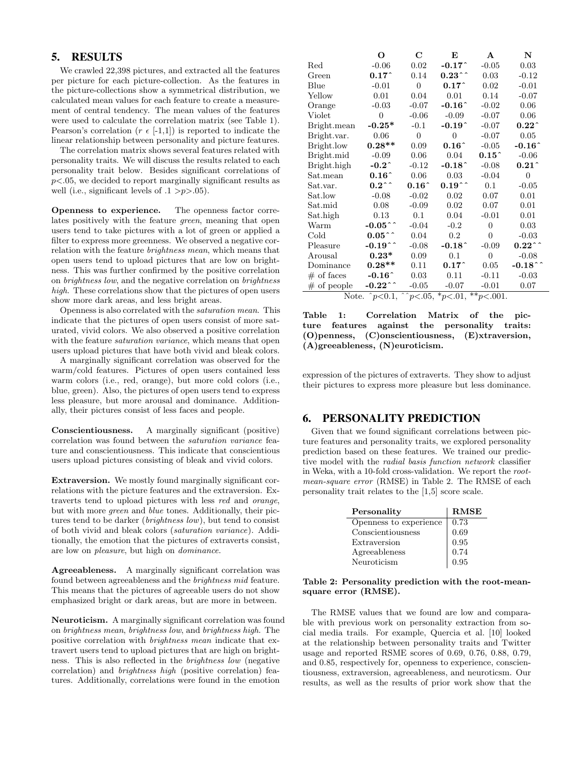# 5. RESULTS

We crawled 22,398 pictures, and extracted all the features per picture for each picture-collection. As the features in the picture-collections show a symmetrical distribution, we calculated mean values for each feature to create a measurement of central tendency. The mean values of the features were used to calculate the correlation matrix (see Table [1\)](#page-2-0). Pearson's correlation  $(r \in [-1,1])$  is reported to indicate the linear relationship between personality and picture features.

The correlation matrix shows several features related with personality traits. We will discuss the results related to each personality trait below. Besides significant correlations of  $p<.05$ , we decided to report marginally significant results as well (i.e., significant levels of  $.1 > p > .05$ ).

Openness to experience. The openness factor correlates positively with the feature green, meaning that open users tend to take pictures with a lot of green or applied a filter to express more greenness. We observed a negative correlation with the feature brightness mean, which means that open users tend to upload pictures that are low on brightness. This was further confirmed by the positive correlation on brightness low, and the negative correlation on brightness high. These correlations show that the pictures of open users show more dark areas, and less bright areas.

Openness is also correlated with the saturation mean. This indicate that the pictures of open users consist of more saturated, vivid colors. We also observed a positive correlation with the feature *saturation variance*, which means that open users upload pictures that have both vivid and bleak colors.

A marginally significant correlation was observed for the warm/cold features. Pictures of open users contained less warm colors (i.e., red, orange), but more cold colors (i.e., blue, green). Also, the pictures of open users tend to express less pleasure, but more arousal and dominance. Additionally, their pictures consist of less faces and people.

Conscientiousness. A marginally significant (positive) correlation was found between the saturation variance feature and conscientiousness. This indicate that conscientious users upload pictures consisting of bleak and vivid colors.

Extraversion. We mostly found marginally significant correlations with the picture features and the extraversion. Extraverts tend to upload pictures with less red and orange, but with more green and blue tones. Additionally, their pictures tend to be darker (brightness low), but tend to consist of both vivid and bleak colors (saturation variance). Additionally, the emotion that the pictures of extraverts consist, are low on pleasure, but high on dominance.

Agreeableness. A marginally significant correlation was found between agreeableness and the brightness mid feature. This means that the pictures of agreeable users do not show emphasized bright or dark areas, but are more in between.

Neuroticism. A marginally significant correlation was found on brightness mean, brightness low, and brightness high. The positive correlation with brightness mean indicate that extravert users tend to upload pictures that are high on brightness. This is also reflected in the brightness low (negative correlation) and brightness high (positive correlation) features. Additionally, correlations were found in the emotion

|                                                                           | O                 | $\mathbf C$    | E                                       | A              | N              |
|---------------------------------------------------------------------------|-------------------|----------------|-----------------------------------------|----------------|----------------|
| Red                                                                       | $-0.06$           | 0.02           | $-0.17$ ^                               | $-0.05$        | 0.03           |
| Green                                                                     | 0.17              | 0.14           | $0.23$ ^^                               | 0.03           | $-0.12$        |
| Blue                                                                      | $-0.01$           | $\overline{0}$ | 0.17                                    | 0.02           | $-0.01$        |
| Yellow                                                                    | 0.01              | 0.04           | 0.01                                    | 0.14           | $-0.07$        |
| Orange                                                                    | $-0.03$           | $-0.07$        | $-0.16^{\degree}$                       | $-0.02$        | 0.06           |
| Violet                                                                    | $\Omega$          | $-0.06$        | $-0.09$                                 | $-0.07$        | 0.06           |
| Bright.mean                                                               | $-0.25*$          | $-0.1$         | $-0.19$ <sup><math>\degree</math></sup> | $-0.07$        | $0.22\degree$  |
| Bright.var.                                                               | 0.06              | $\overline{0}$ | $\overline{0}$                          | $-0.07$        | 0.05           |
| Bright.low                                                                | $0.28**$          | 0.09           | $0.16^$                                 | $-0.05$        | $-0.16$ ^      |
| Bright.mid                                                                | $-0.09$           | 0.06           | 0.04                                    | $0.15\degree$  | $-0.06$        |
| Bright.high                                                               | $-0.2^{\circ}$    | $-0.12$        | $-0.18$ <sup><math>\degree</math></sup> | $-0.08$        | $0.21\degree$  |
| Sat.mean                                                                  | 0.16              | 0.06           | 0.03                                    | $-0.04$        | $\overline{0}$ |
| Sat.var.                                                                  | $0.2$ ^^          | $0.16$ ^       | $0.19$ ^^                               | 0.1            | $-0.05$        |
| Sat.low                                                                   | $-0.08$           | $-0.02$        | 0.02                                    | 0.07           | 0.01           |
| Sat.mid                                                                   | 0.08              | $-0.09$        | 0.02                                    | 0.07           | 0.01           |
| Sat.high                                                                  | 0.13              | $0.1\,$        | 0.04                                    | $-0.01$        | 0.01           |
| Warm                                                                      | $-0.05$ ^^        | $-0.04$        | $-0.2$                                  | $\overline{0}$ | 0.03           |
| Cold                                                                      | $0.05$ ^ ^        | 0.04           | 0.2                                     | $\overline{0}$ | $-0.03$        |
| Pleasure                                                                  | $-0.19$ ^         | $-0.08$        | $-0.18$ <sup>2</sup>                    | $-0.09$        | $0.22$ ^^      |
| Arousal                                                                   | $0.23*$           | 0.09           | 0.1                                     | $\overline{0}$ | $-0.08$        |
| Dominance                                                                 | $0.28**$          | 0.11           | 0.17                                    | 0.05           | $-0.18$ ^      |
| $#$ of faces                                                              | $-0.16\, \hat{ }$ | 0.03           | 0.11                                    | $-0.11$        | $-0.03$        |
| $#$ of people                                                             | $-0.22$ ^^        | $-0.05$        | $-0.07$                                 | $-0.01$        | 0.07           |
| $\gamma p<0.1, \gamma p<0.05$ ,<br>$*_{p<.001}$ .<br>$*_{p<.01}$<br>Note. |                   |                |                                         |                |                |

<span id="page-2-0"></span>Table 1: Correlation Matrix of the picture features against the personality traits: (O)penness, (C)onscientiousness, (E)xtraversion, (A)greeableness, (N)euroticism.

expression of the pictures of extraverts. They show to adjust their pictures to express more pleasure but less dominance.

## 6. PERSONALITY PREDICTION

Given that we found significant correlations between picture features and personality traits, we explored personality prediction based on these features. We trained our predictive model with the radial basis function network classifier in Weka, with a 10-fold cross-validation. We report the rootmean-square error (RMSE) in Table [2.](#page-2-1) The RMSE of each personality trait relates to the [1,5] score scale.

| Personality            | <b>RMSE</b> |
|------------------------|-------------|
| Openness to experience | 0.73        |
| Conscientiousness      | 0.69        |
| Extraversion           | 0.95        |
| Agreeableness          | 0.74        |
| Neuroticism            | 0.95        |

#### <span id="page-2-1"></span>Table 2: Personality prediction with the root-meansquare error (RMSE).

The RMSE values that we found are low and comparable with previous work on personality extraction from social media trails. For example, Quercia et al. [\[10\]](#page-3-11) looked at the relationship between personality traits and Twitter usage and reported RSME scores of 0.69, 0.76, 0.88, 0.79, and 0.85, respectively for, openness to experience, conscientiousness, extraversion, agreeableness, and neuroticsm. Our results, as well as the results of prior work show that the